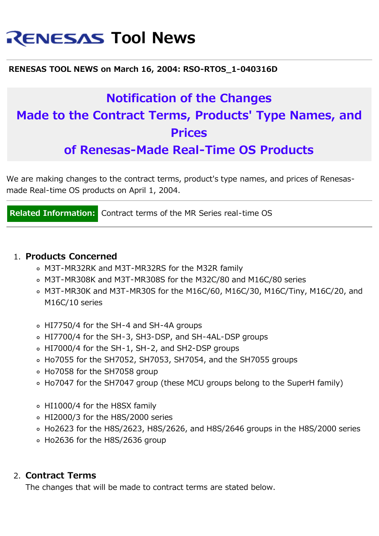# **RENESAS Tool News**

#### **RENESAS TOOL NEWS on March 16, 2004: RSO-RTOS\_1-040316D**

## **Notification of the Changes Made to the Contract Terms, Products' Type Names, and Prices**

**of Renesas-Made Real-Time OS Products**

We are making changes to the contract terms, product's type names, and prices of Renesasmade Real-time OS products on April 1, 2004.

**Related Information:** Contract terms of the MR Series real-time OS

#### 1. **Products Concerned**

- M3T-MR32RK and M3T-MR32RS for the M32R family
- M3T-MR308K and M3T-MR308S for the M32C/80 and M16C/80 series
- M3T-MR30K and M3T-MR30S for the M16C/60, M16C/30, M16C/Tiny, M16C/20, and M16C/10 series
- HI7750/4 for the SH-4 and SH-4A groups
- HI7700/4 for the SH-3, SH3-DSP, and SH-4AL-DSP groups
- HI7000/4 for the SH-1, SH-2, and SH2-DSP groups
- Ho7055 for the SH7052, SH7053, SH7054, and the SH7055 groups
- Ho7058 for the SH7058 group
- Ho7047 for the SH7047 group (these MCU groups belong to the SuperH family)
- HI1000/4 for the H8SX family
- HI2000/3 for the H8S/2000 series
- Ho2623 for the H8S/2623, H8S/2626, and H8S/2646 groups in the H8S/2000 series
- Ho2636 for the H8S/2636 group

#### 2. **Contract Terms**

The changes that will be made to contract terms are stated below.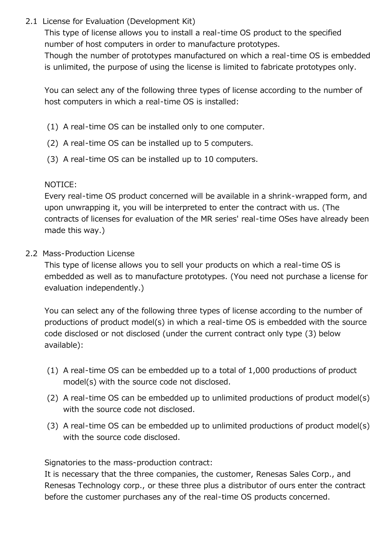2.1 License for Evaluation (Development Kit)

This type of license allows you to install a real-time OS product to the specified number of host computers in order to manufacture prototypes. Though the number of prototypes manufactured on which a real-time OS is embedded is unlimited, the purpose of using the license is limited to fabricate prototypes only.

You can select any of the following three types of license according to the number of host computers in which a real-time OS is installed:

- (1) A real-time OS can be installed only to one computer.
- (2) A real-time OS can be installed up to 5 computers.
- (3) A real-time OS can be installed up to 10 computers.

#### NOTICE:

Every real-time OS product concerned will be available in a shrink-wrapped form, and upon unwrapping it, you will be interpreted to enter the contract with us. (The contracts of licenses for evaluation of the MR series' real-time OSes have already been made this way.)

2.2 Mass-Production License

This type of license allows you to sell your products on which a real-time OS is embedded as well as to manufacture prototypes. (You need not purchase a license for evaluation independently.)

You can select any of the following three types of license according to the number of productions of product model(s) in which a real-time OS is embedded with the source code disclosed or not disclosed (under the current contract only type (3) below available):

- (1) A real-time OS can be embedded up to a total of 1,000 productions of product model(s) with the source code not disclosed.
- (2) A real-time OS can be embedded up to unlimited productions of product model(s) with the source code not disclosed.
- (3) A real-time OS can be embedded up to unlimited productions of product model(s) with the source code disclosed.

Signatories to the mass-production contract:

It is necessary that the three companies, the customer, Renesas Sales Corp., and Renesas Technology corp., or these three plus a distributor of ours enter the contract before the customer purchases any of the real-time OS products concerned.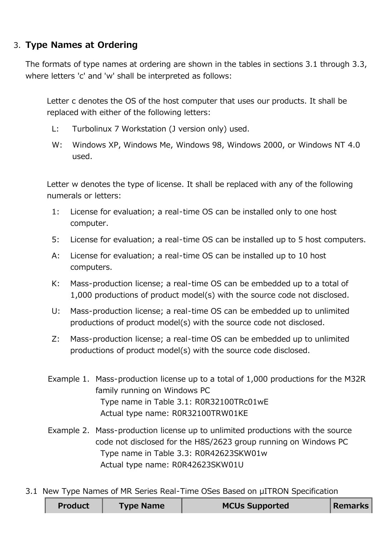### 3. **Type Names at Ordering**

The formats of type names at ordering are shown in the tables in sections 3.1 through 3.3, where letters 'c' and 'w' shall be interpreted as follows:

Letter c denotes the OS of the host computer that uses our products. It shall be replaced with either of the following letters:

- L: Turbolinux 7 Workstation (J version only) used.
- W: Windows XP, Windows Me, Windows 98, Windows 2000, or Windows NT 4.0 used.

Letter w denotes the type of license. It shall be replaced with any of the following numerals or letters:

- 1: License for evaluation; a real-time OS can be installed only to one host computer.
- 5: License for evaluation; a real-time OS can be installed up to 5 host computers.
- A: License for evaluation; a real-time OS can be installed up to 10 host computers.
- K: Mass-production license; a real-time OS can be embedded up to a total of 1,000 productions of product model(s) with the source code not disclosed.
- U: Mass-production license; a real-time OS can be embedded up to unlimited productions of product model(s) with the source code not disclosed.
- Z: Mass-production license; a real-time OS can be embedded up to unlimited productions of product model(s) with the source code disclosed.
- Example 1. Mass-production license up to a total of 1,000 productions for the M32R family running on Windows PC Type name in Table 3.1: R0R32100TRc01wE Actual type name: R0R32100TRW01KE
- Example 2. Mass-production license up to unlimited productions with the source code not disclosed for the H8S/2623 group running on Windows PC Type name in Table 3.3: R0R42623SKW01w Actual type name: R0R42623SKW01U
- 3.1 New Type Names of MR Series Real-Time OSes Based on µITRON Specification

| <b>Product</b> | <b>Type Name</b> | <b>MCUs Supported</b> | Remarks |
|----------------|------------------|-----------------------|---------|
|                |                  |                       |         |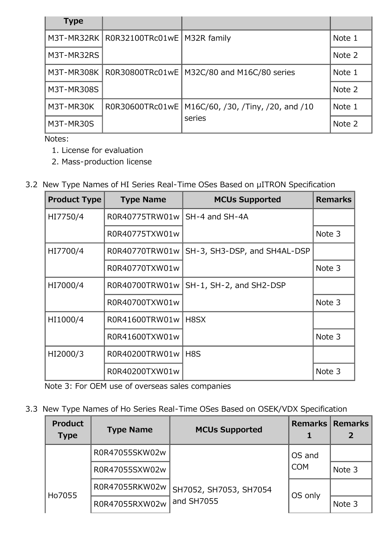| <b>Type</b>       |                 |                                             |        |
|-------------------|-----------------|---------------------------------------------|--------|
| M3T-MR32RK        | R0R32100TRc01wE | M32R family                                 | Note 1 |
| M3T-MR32RS        |                 |                                             | Note 2 |
| M3T-MR308K        | R0R30800TRc01wE | M32C/80 and M16C/80 series                  | Note 1 |
| <b>M3T-MR308S</b> |                 |                                             | Note 2 |
| M3T-MR30K         | R0R30600TRc01wE | M16C/60, /30, /Tiny, /20, and /10<br>series | Note 1 |
| M3T-MR30S         |                 |                                             | Note 2 |

Notes:

- 1. License for evaluation
- 2. Mass-production license
- 3.2 New Type Names of HI Series Real-Time OSes Based on µITRON Specification

| <b>Product Type</b> | <b>Type Name</b> | <b>MCUs Supported</b>        | <b>Remarks</b> |
|---------------------|------------------|------------------------------|----------------|
| HI7750/4            | R0R40775TRW01w   | SH-4 and SH-4A               |                |
|                     | R0R40775TXW01w   |                              | Note 3         |
| HI7700/4            | R0R40770TRW01w   | SH-3, SH3-DSP, and SH4AL-DSP |                |
|                     | R0R40770TXW01w   |                              | Note 3         |
| HI7000/4            | R0R40700TRW01w   | SH-1, SH-2, and SH2-DSP      |                |
|                     | R0R40700TXW01w   |                              | Note 3         |
| HI1000/4            | R0R41600TRW01w   | H8SX                         |                |
|                     | R0R41600TXW01w   |                              | Note 3         |
| HI2000/3            | R0R40200TRW01w   | H <sub>8</sub> S             |                |
|                     | R0R40200TXW01w   |                              | Note 3         |

Note 3: For OEM use of overseas sales companies

3.3 New Type Names of Ho Series Real-Time OSes Based on OSEK/VDX Specification

| <b>Product</b><br><b>Type</b> | <b>Type Name</b> | <b>MCUs Supported</b>                |                      | <b>Remarks   Remarks  </b> |
|-------------------------------|------------------|--------------------------------------|----------------------|----------------------------|
|                               | R0R47055SKW02w   |                                      | OS and<br><b>COM</b> |                            |
|                               | R0R47055SXW02w   |                                      |                      | Note 3                     |
| Ho7055                        | R0R47055RKW02w   | SH7052, SH7053, SH7054<br>and SH7055 | OS only              |                            |
|                               | R0R47055RXW02w   |                                      |                      | Note 3                     |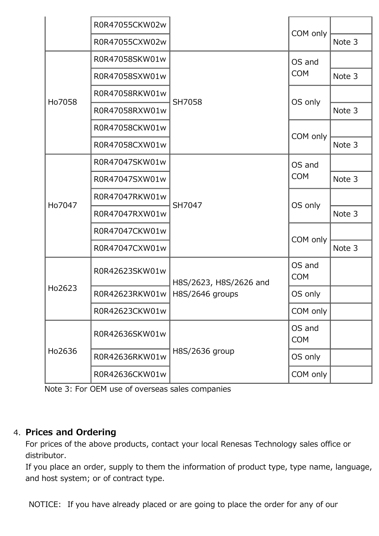|        | R0R47055CKW02w |                                           |                      |        |
|--------|----------------|-------------------------------------------|----------------------|--------|
|        | R0R47055CXW02w |                                           | COM only             | Note 3 |
| Ho7058 | R0R47058SKW01w |                                           | OS and<br><b>COM</b> |        |
|        | R0R47058SXW01w | SH7058                                    |                      | Note 3 |
|        | R0R47058RKW01w |                                           | OS only              |        |
|        | R0R47058RXW01w |                                           |                      | Note 3 |
|        | R0R47058CKW01w |                                           | COM only             |        |
|        | R0R47058CXW01w |                                           |                      | Note 3 |
| Ho7047 | R0R47047SKW01w |                                           | OS and<br><b>COM</b> |        |
|        | R0R47047SXW01w | SH7047                                    |                      | Note 3 |
|        | R0R47047RKW01w |                                           | OS only              |        |
|        | R0R47047RXW01w |                                           |                      | Note 3 |
|        | R0R47047CKW01w |                                           |                      |        |
|        | R0R47047CXW01w |                                           | COM only             | Note 3 |
| Ho2623 | R0R42623SKW01w | H8S/2623, H8S/2626 and<br>H8S/2646 groups | OS and<br><b>COM</b> |        |
|        | R0R42623RKW01w |                                           | OS only              |        |
|        | R0R42623CKW01w |                                           | COM only             |        |
| Ho2636 | R0R42636SKW01w | H8S/2636 group                            | OS and<br><b>COM</b> |        |
|        | R0R42636RKW01w |                                           | OS only              |        |
|        | R0R42636CKW01w |                                           | COM only             |        |

Note 3: For OEM use of overseas sales companies

### 4. **Prices and Ordering**

For prices of the above products, contact your local Renesas Technology sales office or distributor.

If you place an order, supply to them the information of product type, type name, language, and host system; or of contract type.

NOTICE: If you have already placed or are going to place the order for any of our